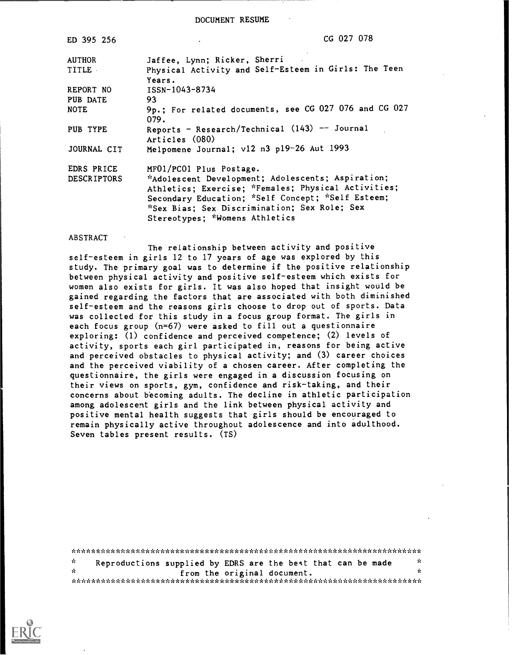DOCUMENT RESUME

| ED 395 256         | CG 027 078                                                      |
|--------------------|-----------------------------------------------------------------|
| <b>AUTHOR</b>      | Jaffee, Lynn; Ricker, Sherri                                    |
| <b>TITLE</b>       | Physical Activity and Self-Esteem in Girls: The Teen            |
|                    | Years.                                                          |
| REPORT NO          | ISSN-1043-8734                                                  |
| PUB DATE           | 93                                                              |
| <b>NOTE</b>        | 9p.; For related documents, see CG 027 076 and CG 027<br>079.   |
| PUB TYPE           | Reports - Research/Technical (143) -- Journal<br>Articles (080) |
| JOURNAL CIT        | Melpomene Journal; v12 n3 p19-26 Aut 1993                       |
| EDRS PRICE         | MF01/PC01 Plus Postage.                                         |
| <b>DESCRIPTORS</b> | *Adolescent Development; Adolescents; Aspiration;               |
|                    | Athletics; Exercise; *Females; Physical Activities;             |
|                    | Secondary Education; *Self Concept; *Self Esteem;               |
|                    | *Sex Bias; Sex Discrimination; Sex Role; Sex                    |
|                    | Stereotypes: *Womens Athletics                                  |
|                    |                                                                 |

#### ABSTRACT

The relationship between activity and positive self-esteem in girls 12 to 17 years of age was explored by this study. The primary goal was to determine if the positive relationship between physical activity and positive self-esteem which exists for women also exists for girls. It was also hoped that insight would be gained regarding the factors that are associated with both diminished self-esteem and the reasons girls choose to drop out of sports. Data was collected for this study in a focus group format. The girls in each focus group (n=67) were asked to fill out a questionnaire exploring: (1) confidence and perceived competence; (2) levels of activity, sports each girl participated in, reasons for being active and perceived obstacles to physical activity; and (3) career choices and the perceived viability of a chosen career. After completing the questionnaire, the girls were engaged in a discussion focusing on their views on sports, gym, confidence and risk-taking, and their concerns about b'ecoming adults. The decline in athletic participation among adolescent girls and the link between physical activity and positive mental health suggests that girls should be encouraged to remain physically active throughout adolescence and into adulthood. Seven tables present results. (TS)

| ÷. | Reproductions supplied by EDRS are the best that can be made | Ϋ́. |
|----|--------------------------------------------------------------|-----|
| ή. | from the original document.                                  | Y.  |
|    |                                                              |     |

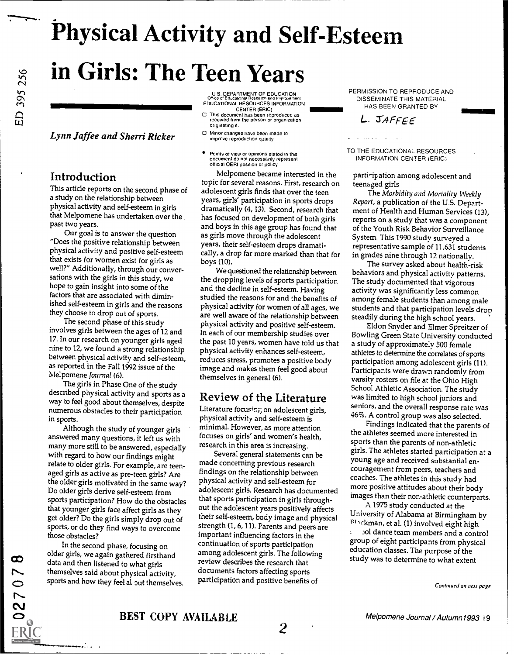# Physical Activity and Self-Esteem in Girls: The Teen Years

## **Lynn Jaffee and Sherri Ricker**  $\Box$  Minor changes have been m

### Introduction

This article reports on the second phase of a study on the relationship between physical activity and self-esteem in girls that Melpomene has undertaken over the past two years.

Our goal is to answer the question "Does the positive relationship between physical activity and positive self-esteem that exists for women exist for girls as well?" Additionally, through our conversations with the girls in this study, we hope to gain insight into some of the factors that are associated with diminished self-esteem in girls and the reasons they choose to drop out of sports.

The second phase of this study involves girls between the ages of 12 and 17. In our research on younger girls aged nine to 12, we found a strong relationship between physical activity and self-esteem, as reported in the Fall 1992 issue of the Melpomene Journal (6).

The girls in Phase One of the study<br>described physical activity and sports as a way to feel good about themselves, despite numerous obstacles to their participation in sports.

Although the study of younger girls answered many questions, it left us with many more still to be answered, especially with regard to how our findings might relate to older girls. For example, are teenaged girls as active as pre-teen girls? Are the older girls motivated in the same way? Do older girls derive self-esteem from sports participation? How do the obstacles that younger girls face affect girls as they get older? Do the girls simply drop out of sports, or do they find ways to overcome those obstacles?

In the second phase, focusing on<br>older girls, we again gathered firsthand data and then listened to what girls themselves said about physical activity, sports and how they feel al out themselves.

**ERIC** 

U S. DEPARTMENT OF EDUCATION C (Ace of Educational Research and improvement<br>EDUCATIONAL RESOURCES INFORMATION CENTER (ERIC)

- $\Box$ <br> $\Box$ <br> $\Box$  ris document has been reproduced as<br> $\Box$  received from the person or organization originating it.<br>Minor changes have been made to
	-
	- Points ot view or opinions stated in this document do not necessarily represent official OERI position or policy

Melpomene became interested in the topic for several reasons. First, research on adolescent girls finds that over the teen years, girls' participation in sports drops dramatically (4, 13). Second, research that has focused on development of both girls and boys in this age group has found that as girls move through the adolescent years, their self-esteem drops dramatically, a drop far more marked than that for boys (10).

We questioned the relationship between the dropping levels of sports participation and the decline in self-esteem. Having studied the reasons for and the benefits of physical activity for women of all ages, we are well aware of the relationship between physical activity and positive self-esteem. In each of our membership studies over the past 10 years, women have told us that physical activity enhances self-esteem, reduces stress, promotes a positive body image and makes them feel good about themselves in general (6).

### Review of the Literature

Literature focusir.7, on adolescent girls, physical activity and self-esteem is minimal. However, as more attention focuses on girls' and women's health, research in this area is increasing.

Several general statements can be made concerning previous research findings on the relationship between physical activity and self-esteem for adolescent girls. Research has documented that sports participation in girls throughout the adolescent years positively affects their self-esteem, body image and physical strength (1, 6, 11). Parents and peers are important influencing factors in the continuation of sports participation among adolescent girls. The following review describes the research that documents factors affecting sports participation and positive benefits of

 $2 \left( \frac{1}{2} \right)$ 

PERMISSION TO REPRODUCE AND DISSEMINATE THIS MATERIAL HAS BEEN GRANTED BY

<u>1111111111111111111111111</u>

# L. JAFFEE

TO THE EDUCATIONAL RESOURCES INFORMATION CENTER (ERIC)

participation among adolescent and teenaged girls

The Morbidity and Mortality Weekly Report, a publication of the U.S. Department of Health and Human Services (13), reports on a study that was a component of the Youth Risk Behavior Surveillance System. This 1990 study surveyed a representative sample of 11,631 students in grades nine through 12 nationally.

The survey asked about health-risk behaviors and physical activity patterns. The study documented that vigorous activity was significantly less common among female students than among male students and that participation levels drop steadily during the high school years.

Eldon Snyder and Elmer Spreitzer of Bowling Green State University conducted a study of approximately 500 female athletes to determine the correlates of sports participation among adolescent girls (11). Participants were drawn randomly from varsity rosters on file at the Ohio High School Athletic Association. The study was limited to high school juniors and seniors, and the overall response rate was 46%. A control group was also selected.

Findings indicated that the parents of the athletes seemed more interested in sports than the parents of non-athletic girls. The athletes started participation at a young age and received substantial encouragement from peers, teachers and coaches. The athletes in this study had more positive attitudes about their body images than their non-athletic counterparts.

A 1975 study conducted at the University of Alabama at Birmingham by Rlackman, et al. (1) involved eight high iol dance team members and a control group of eight participants from physical education classes. The purpose of the study was to determine to what extent

Continued on next page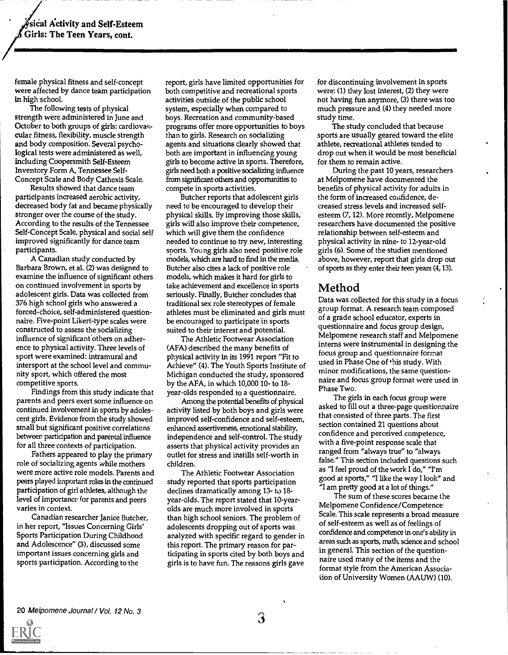female physical fitness and self-concept were affected by dance team participation in high school.

The following tests of physical strength were administered in June and October to both groups of girls: cardiovascular fitness, flexibility, muscle strength and body composition. Several psychological tests were administered as well, including Coopersmith Self-Esteem Inventory Form A, Tennessee Self-Concept Scale and Body Cathexis Scale.

Results showed that dance team participants increased aerobic activity, decreased body fat and became physically stronger over the course of the study. According to the results of the Tennessee Self-Concept Scale, physical and social self improved significantly for dance team participants.

A Canadian study conducted by Barbara Brown, et al. (2) was designed to examine the influence of significant others on continued involvement in sports by adolescent girls. Data was collected from 376 high school girls who answered a forced-choice, self-administered questionnaire. Five-point Likert-type scales were constructed to assess the socializing influence of significant others on adherence to physical activity. Three levels of sport were examined: intramural and intersport at the school level and community sport, which offered the most competitive sports.

Findings from this study indicate that parents and peers exert some influence on continued involvement in sports by adolescent girls. Evidence from the study showed small but significant positive correlations between participation and parental influence for all three contexts of participation.

Fathers appeared to play the primary role of socializing agents while mothers were more active role models. Parents and peers played important roles in the continued participation of girl athletes, although the level of importance for parents and peers varies in context.

Canadian researcher Janice Butcher, in her report, "Issues Concerning Girls' Sports Participation During Childhood and Adolescence" (3), discussed some important issues concerning girls and sports participation. According to the

report, girls have limited opportunities for both competitive and recreational sports activities outside of the public school system, especially when compared to boys. Recreation and community-based programs offer more opportunities to boys than to girls. Research on socializing agents and situations clearly showed that both are important in influencing young girls to become active in sports. Therefore, girls need both a positive socializing influence from significant others and opportunities to compete in sports activities.

Butcher reports that adolescent girls need to be encouraged to develop their physical skills. By improving those skills, girls will also improve their competence, which will give them the confidence needed to continue to try new, interesting sports. Young girls also need positive role models, which are hard to find in the media. Butcher also cites a lack of positive role models, which makes it hard for girls to take achievement and excellence in sports seriously. Finally, Butcher concludes that traditional sex role stereotypes of female athletes must be eliminated and girls must be encouraged to participate in sports suited to their interest and potential.

The Athletic Footwear Association (AFA) described the many benefits of physical activity in its 1991 report "Fit to Achieve" (4). The Youth Sports Institute of Michigan conducted the study, sponsored by the AFA, in which 10,000 10- to 18 year-olds responded to a questionnaire.

Among the potential benefits of physical activity listed by both boys and girls were improved self-confidence and self-esteem, enhanced assertiveness, emotional stability, independence and self-control. The study asserts that physical activity provides an outlet for stress and instills self-worth in children.

The Athletic Footwear Association study reported that sports participation declines dramatically among 13- to 18 year-olds. The report stated that 10-yearolds are much more involved in sports than high school seniors. The problem of adolescents dropping out of sports was analyzed with specific regard to gender in this report. The primary reason for participating in sports cited by both boys and girls is to have fun. The reasons girls gave

for discontinuing involvement in sports were: (1) they lost interest, (2) they were not having fun anymore, (3) there was too much pressure and (4) they needed more study time.

The study concluded that because sports are usually geared toward the elite athlete, recreational athletes tended to drop out when it would be most beneficial for them to remain active.

During the past 10 years, researchers at Melpomene have documented the benefits of physical activity for adults in the form of increased confidence, decreased stress levels and increased selfesteem (7, 12). More recently, Melpomene researchers have documented the positive relationship between self-esteem and physical activity in nine- to 12-year-old girls (6). Some of the studies mentioned above, however, report that girls drop out of sports as they enter their teen years (4, 13).

#### Method

Data was collected for this study in a focus group format. A research team composed of a grade school educator, experts in questionnaire and focus group design, Melpomene research staff and Melpomene interns were instrumental in designing the focus group and questionnaire format used in Phase One of this study. With minor modifications, the same questionnaire and focus group format were used in Phase Two.

The girls in each focus group were asked to fill out a three-page questionnaire that consisted of three parts. The first section contained 21 questions about confidence and perceived competence, with a five-point response scale that ranged from "always true" to "always false." This section included questions such as "I feel proud of the work I do," "I'm good at sports," "I like the way I look" and "I am pretty good at a lot of things."

The sum of these scores became the Melpomene Confidence/Competence Scale. This scale represents a broad measure of self-esteem as well as of feelings of confidence and competence in one's ability in areas such as sports, math, science and school in general. This section of the questionnaire used many of the items and the format style from the American Associaiion of University Women (AAUW) (10).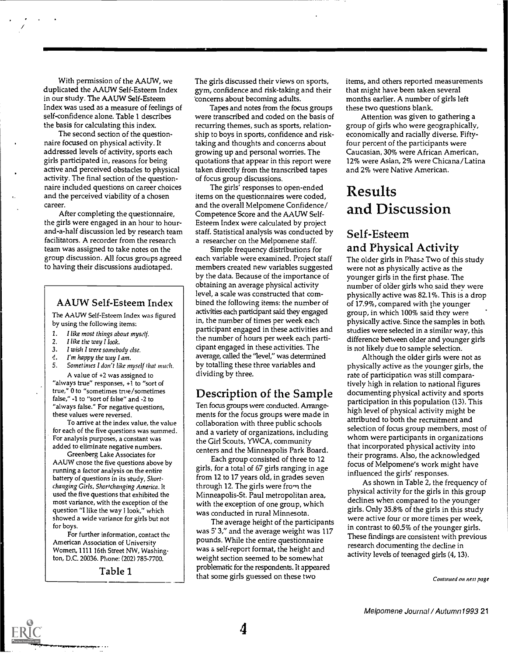With permission of the AAUW, we duplicated the AAUW Self-Esteem Index in our study. The AAUW Self-Esteem Index was used as a measure of feelings of self-confidence alone. Table 1 describes the basis for calculating this index.

The second section of the questionnaire focused on physical activity. It addressed levels of activity, sports each girls participated in, reasons for being active and perceived obstacles to physical activity. The final section of the questionnaire included questions on career choices and the perceived viability of a chosen career.

After completing the questionnaire, the girls were engaged in an hour to hourand-a-half discussion led by research team facilitators. A recorder from the research team was assigned to take notes on the group discussion. All focus groups agreed to having their discussions audiotaped.

#### AAUW Self-Esteem Index

The AAUW Self-Esteem Index was figured by using the following items:

- 1. I like most things about myself.<br>2. I like the way I look
- 2. I like the way I look.
- 3. I wish I were somebody else.
- 4. I'm happy the way I am.
- 5. Sometimes I don't like myself that much.

A value of +2 was assigned to "always true" responses, +1 to "sort of true," 0 to "sometimes true/sometimes false," -1 to "sort of false" and -2 to "always false." For negative questions, these values were reversed.

To arrive at the index value, the value for each of the five questions was summed. For analysis purposes, a constant was added to eliminate negative numbers.

Greenberg Lake Associates for AAUW chose the five questions above by running a factor analysis on the entire battery of questions in its study, Shortchanging Girls, Shortchanging America. It used the five questions that exhibited the most variance, with the exception of the question "I like the way I look," which showed a wide variance for girls but not for boys.

For further information, contact the American Association of University Women, 1111 16th Street NW, Washington, D.C. 20036. Phone: (202) 785-7700.

Table 1

The girls discussed their views on sports, gym, confidence and risk-taking and their 'concerns about becoming adults.

Tapes and notes from the focus groups were transcribed and coded on the basis of recurring themes, such as sports, relationship to boys in sports, confidence and risktaking and thoughts and concerns about growing up and personal worries. The quotations that appear in this report were taken directly from the transcribed tapes of focus group discussions.

The girls' responses to open-ended items on the questionnaires were coded, and the overall Melpomene Confidence/ Competence Score and the AAUW Self-Esteem Index were calculated by project staff. Statistical analysis was conducted by a researcher on the Melpomene staff.

Simple frequency distributions for each variable were examined. Project staff members created new variables suggested by the data. Because of the importance of obtaining an average physical activity level, a scale was constructed that combined the following items: the number of activities each participant said they engaged in, the number of times per week each participant engaged in these activities and the number of hours per week each participant engaged in these activities. The average, called the 'level," was determined by totalling these three variables and dividing by three.

### Description of the Sample

Ten focus groups were conducted. Arrangements for the focus groups were made in collaboration with three public schools and a variety of organizations, including the Girl Scouts, YWCA, community centers and the Minneapolis Park Board.

Each group consisted of three to 12 girls, for a total of 67 girls ranging in age from 12 to 17 years old, in grades seven through 12. The girls were from the Minneapolis-St. Paul metropolitan area, with the exception of one group, which was conducted in rural Minnesota.

The average height of the participants was 5' 3," and the average weight was 117 pounds. While the entire questionnaire was a self-report format, the height and weight section seemed to be somewhat problematic for the respondents. It appeared that some girls guessed on these two

items, and others reported measurements that might have been taken several months earlier. A number of girls left these two questions blank.

Attention was given to gathering a group of girls who were geographically, economically and racially diverse. Fiftyfour percent of the participants were Caucasian, 30% were African American, 12% were Asian, 2% were Chicana /Latina and 2% were Native American.

# Results and Discussion

# Self-Esteem and Physical Activity

The older girls in Phase Two of this study were not as physically active as the younger girls in the first phase. The number of older girls who said they were physically active was 82.1%. This is a drop of 17.9%, compared with the younger group, in which 100% said they were physically active. Since the samples in both studies were selected in a similar way, this difference between older and younger girls is not likely due to sample selection.

Although the older girls were not as physically active as the younger girls, the rate of participation was still comparatively high in relation to national figures documenting physical activity and sports participation in this population (13). This high level of physical activity might be attributed to both the recruitment and selection of focus group members, most of whom were participants in organizations that incorporated physical activity into their programs. Also, the acknowledged focus of Melpomene's work might have influenced the girls' responses.

As shown in Table 2, the frequency of physical activity for the girls in this group declines when compared to the younger girls. Only 35.8% of the girls in this study were active four or more times per week, in contrast to 60.5% of the younger girls. These findings are consistent with previous research documenting the decline in activity levels of teenaged girls (4, 13).

Continued on next page

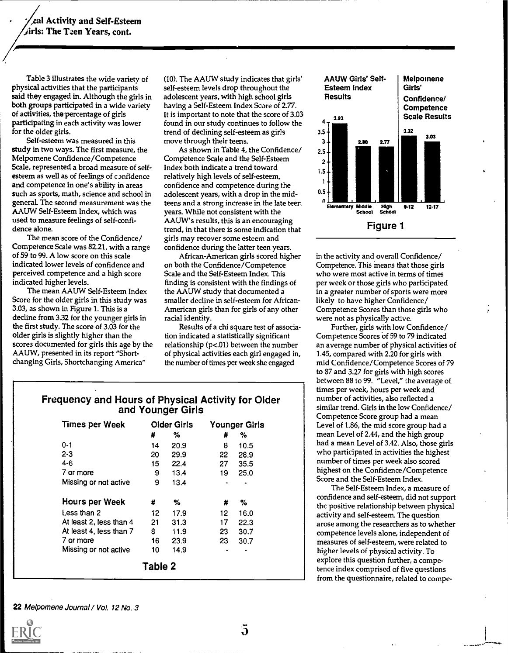Table 3 illustrates the wide variety of physical activities that the participants said they engaged in. Although the girls in both groups participated in a wide variety of activities, the percentage of girls participating in each activity was lower for the older girls.

Self-esteem was measured in this study in two ways. The first measure, the Melpomene Confidence/Competence Scale, represented a broad measure of selfesteem as well as of feelings of confidence and competence in one's ability in areas such as sports, math, science and school in general. The second measurement was the AAUW Self-Esteem Index, which was used to measure feelings of self-confidence alone.

The mean score of the Confidence/ Competence Scale was 82.21, with a range of 59 to 99. A low score on this scale indicated lower levels of confidence and perceived competence and a high score indicated higher levels.

The mean AAUW Self-Esteem Index Score for the older girls in this study was 3.03, as shown in Figure 1. This is a decline from 3.32 for the younger girls in the first study. The score of 3.03 for the older girls is slightly higher than the scores documented for girls this age by the AAUW, presented in its report "Shortchanging Girls, Shortchanging America"

(10). The AAUW study indicates that girls' self-esteem levels drop throughout the adolescent years, with high school girls having a Self-Esteem Index Score of 2.77. It is important to note that the score of 3.03<br>found in our other continues to follow the found in our study continues to follow the trend of declining self-esteem as girls move through their teens.

As shown in Table 4, the Confidence/ Competence Scale and the Self-Esteem Index both indicate a trend toward relatively high levels of self-esteem, confidence and competence during the adolescent years, with a drop in the midteens and a strong increase in the late teer, years. While not consistent with the AAUW's results, this is an encouraging trend, in that there is some indication that girls may recover some esteem and confidence during the latter teen years.

African-American girls scored higher on both the Confidence/Competence Scale and the Self-Esteem Index. This finding is consistent with the findings of the AAUW study that documented a smaller decline in self-esteem for African-American girls than for girls of any other racial identity.

Results of a chi square test of association indicated a statistically significant relationship (p<.01) between the number of physical activities each girl engaged in, the number of times per week she engaged



in the activity and overall Confidence/ Competence. This means that those girls who were most active in terms of times per week or those girls who participated in a greater number of sports were more likely to have higher Confidence/ Competence Scores than those girls who were not as physically active.

Further, girls with low Confidence/ Competence Scores of 59 to 79 indicated an average number of physical activities of 1.45, compared with 2.20 for girls with mid Confidence/Competence Scores of 79 to 87 and 3.27 for girls with high scores between 88 to 99. "Level," the average of times per week, hours per week and number of activities, also reflected a similar trend. Girls in the low Confidence/ Competence Score group had a mean Level of 1.86, the mid score group had a mean Level of 2.44, and the high group had a mean Level of 3.42. Also, those girls who participated in activities the highest number of times per week also scored highest on the Confidence/Competence Score and the Self-Esteem Index.

The Self-Esteem Index, a measure of confidence and self-esteem, did not support thc positive relationship between physical activity and self-esteem. The question arose among the researchers as to whether competence levels alone, independent of measures of self-esteem, were related to higher levels of physical activity. To explore this question further, a competence index comprised of five questions from the questionnaire, related to compe-

# Frequency and Hours of Physical Activity for Older and Younger Girls

| <b>Times per Week</b>   |         | <b>Older Girls</b> |    | Younger Girls |  |
|-------------------------|---------|--------------------|----|---------------|--|
|                         | #       | %                  | #  | %             |  |
| $0 - 1$                 | 14      | 20.9               | 8  | 10.5          |  |
| $2 - 3$                 | 20      | 29.9               | 22 | 28.9          |  |
| $4 - 6$                 | 15      | 22.4               | 27 | 35.5          |  |
| 7 or more               | 9       | 13.4               | 19 | 25.0          |  |
| Missing or not active   | 9       | 13.4               |    |               |  |
| <b>Hours per Week</b>   | #       | %                  | #  | %             |  |
| Less than 2             | 12.     | 17.9               | 12 | 16.0          |  |
| At least 2, less than 4 | 21      | 31.3               | 17 | 22.3          |  |
| At least 4, less than 7 | 8       | 11.9               | 23 | 30.7          |  |
| 7 or more               | 16      | 23.9               | 23 | 30.7          |  |
| Missing or not active   | 10      | 14.9               | ۰  |               |  |
|                         | Table 2 |                    |    |               |  |

22 Melpomene Journal / Vol. 12 No. 3

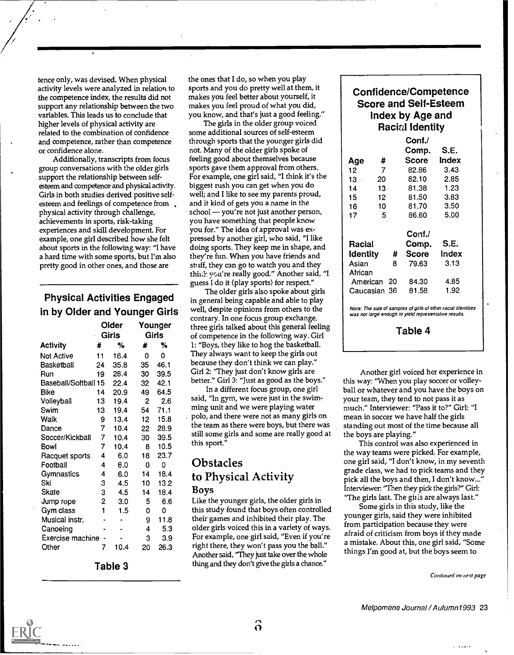tence only, was devised. When physical activity levels were analyzed in relation to the competence index, the results did not support any relationship between the two variables. This leads us to conclude that higher levels of physical activity are related to the combination of confidence and competence, rather than competence or confidence alone.

Additionally, transcripts from focus group conversations with the older girls support the relationship between selfesteem and competence and physical activity. Girls in both studies derived positive selfesteem and feelings of competence from. physical activity through challenge, achievements in sports, risk-taking experiences and skill development. For example, one girl described how she felt about sports in the following way: "I have a hard time with some sports, but I'm also pretty good in other ones, and those are

# Physical Activities Engaged in by Older and Younger Girls

|                             |    | Older<br><b>Girls</b> |    | Younger<br>Girls | three<br>of co |
|-----------------------------|----|-----------------------|----|------------------|----------------|
| Activity                    | #  | %                     | #  | %                | 1: "B          |
| Not Active                  | 11 | 16.4                  | 0  | 0                | They           |
| Basketball                  | 24 | 35.8                  | 35 | 46.1             | beca           |
| Run                         | 19 | 28.4                  | 30 | 39.5             | Girl           |
| <b>Baseball/Softball 15</b> |    | 22.4                  | 32 | 42.1             | bette          |
| Bike                        | 14 | 20.9                  | 49 | 64.5             |                |
| Volleyball                  | 13 | 19.4                  | 2  | 2.6              | said,          |
| Swim                        | 13 | 19.4                  | 54 | 71.1             | ming           |
| Walk                        | 9  | 13.4                  | 12 | 15.8             | polo           |
| Dance                       | 7  | 10.4                  | 22 | 28.9             | the t          |
| Soccer/Kickball             | 7  | 10.4                  | 30 | 39.5             | still          |
| Bowl                        | 7  | 10.4                  | 8  | 10.5             | this :         |
| Racquet sports              | 4  | 6.0                   | 18 | 23.7             |                |
| Football                    | 4  | 6.0                   | 0  | 0                | Oł             |
| Gymnastics                  | 4  | 6.0                   | 14 | 18.4             | to .           |
| Ski                         | 3  | 4.5                   | 10 | 13.2             |                |
| Skate                       | 3  | 4.5                   | 14 | 18.4             | Boy            |
| Jump rope                   | 2  | 3.0                   | 5  | 6.6              | Like           |
| Gym class                   | 1  | 1.5                   | 0  | 0                | this           |
| Musical instr.              |    |                       | 9  | 11.8             | theii          |
| Canoeing                    |    |                       | 4  | 5.3              | olde           |
| Exercise machine            |    |                       | 3  | 3.9              | For (          |
| Other                       | 7  | 10.4                  | 20 | 26.3             | righ<br>Ano    |

Table 3

the ones that I do, so when you play sports and you do pretty well at them, it makes you feel better about yourself, it makes you feel proud of what you did, you know, and that's just a good feeling."

The girls in the older group voiced some additional sources of self-esteem through sports that the younger girls did not. Many of the older girls spoke of feeling good about themselves because sports gave them approval from others. For example, one girl said, "I think it's the biggest rush you can get when you do well; and I like to see my parents proud, and it kind of gets you a name in the school - you're not just another person, you have something that people know you for." The idea of approval was expressed by another girl, who said, "I like doing sports. They keep me in shape, and they're fun. When you have friends and sti iff, they can go to watch you and they think you're really good." Another said, "I guess I do it (play sports) for respect."

Younger three girls talked about this general feeling Girls **o**f competence in the following way. Girl Activity # % # % 1: "Boys, they like to hog the basketball. The older girls also spoke about girls in general being capable and able to play well, despite opinions from others to the contrary. In one focus group exchange, They always want to keep the girls out because they don't think we can play." Girl 2: "They just don't know girls are better." Girl 3: "Just as good as the boys."

In a different focus group, one girl said, "In gym, we were just in the swimming unit and we were playing water polo, and there were not as many girls on the team as there were boys, but there was still some girls and some are really good at this sport."

## **Obstacles** to Physical Activity Boys

Like the younger girls, the older girls in this study found that boys often controlled their games and inhibited their play. The older girls voiced this in a variety of ways. For example, one girl said, "Even if you're right there, they won't pass you the ball." Another said, "They just take over the whole thing and they don't give the girls a chance."

#### Confidence/Competence Score and Self-Esteem Index by Age and Racial Identity

|                 |                 |    | Conf./ |       |  |
|-----------------|-----------------|----|--------|-------|--|
|                 |                 |    | Comp.  | S.E.  |  |
| Age             | #               |    | Score  | Index |  |
| 12              | $\overline{7}$  |    | 82.86  | 3.43  |  |
| $13 -$          | 20              |    | 82.10  | 2.85  |  |
| 14              | 13              |    | 81.38  | 1.23  |  |
| 15 <sup>1</sup> | 12              |    | 81.50  | 3.83  |  |
| 16              | 10 <sub>1</sub> |    | 81.70  | 3.50  |  |
| 17              | 5               |    | 86.60  | 5.00  |  |
|                 |                 |    |        |       |  |
|                 |                 |    | Conf./ | S.E.  |  |
| Racial          |                 |    | Comp.  |       |  |
| <b>Identity</b> |                 | #  | Score  | Index |  |
| Asian           |                 | 8  | 79.63  | 3.13  |  |
| African         |                 |    |        |       |  |
| American        |                 | 20 | 84.30  | 4.85  |  |
| Caucasian 36    |                 |    | 81.58  | 1.92  |  |
|                 |                 |    |        |       |  |

Note: The size of samples of girls of other racial identities was not large enough to yield representative results.

Table 4

Another girl voiced her experience in this way: "When you play soccer or volleyball or whatever and you have the boys on your team, they tend to not pass it as much." Interviewer: "Pass it to?" Girl: "I mean in soccer we have half the girls standing out most of the time because all the boys are playing."

This control was also experienced in the way teams were picked. For example, one girl said, "I don't know, in my seventh grade class, we had to pick teams and they pick all the boys and then, I don't know...' Interviewer: "Then they pick the girls?" Girl: "The girls last. The gills are always last."

Some girls in this study, like the younger girls, said they were inhibited from participation because they were afraid of criticism from boys if they made a mistake. About this, one girl said, "Some things I'm good at, but the boys seem to

Continued on nert page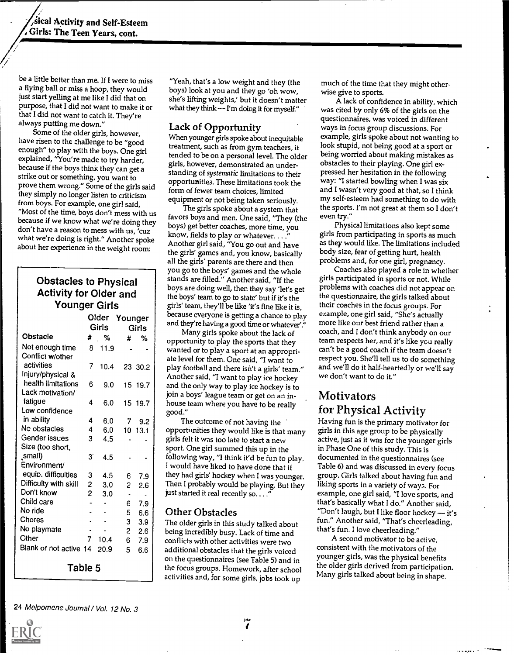sical Activity and Self-Esteem, Girls: The Teen Years, cont.

be a little better than me. If I were to miss a flying ball or miss a hoop, they would just start yelling at me like I did that on purpose, that I did not want to make it or that I did not want to catch it. They're always putting me down."

Some of the older girls, however, have risen to the challenge to be "good enough" to play with the boys. One girl explained, "You're made to try harder, because if the boys thinx they can get a strike out or something, you want to prove them wrong." Some of the girls said they simply no longer listen to criticism from boys. For example, one girl said, because if we know what we're doing they don't have a reason to mess with us, 'cuz what we're doing is right." Another spoke about her experience in the weight room:

> Obstacles to Physical Activity for Older and

| Younger Girls          |                |       |                |              | girls' team, they'll be like 'it's fine like it is,                                           |
|------------------------|----------------|-------|----------------|--------------|-----------------------------------------------------------------------------------------------|
|                        |                | Older | Younger        |              | because everyone is getting a chance to play<br>and they're having a good time or whatever'." |
|                        |                | Girls |                | <b>Girls</b> |                                                                                               |
| <b>Obstacle</b>        |                | # %   | #              | ℅            | Many girls spoke about the lack of<br>opportunity to play the sports that they                |
| Not enough time        | 8              | 11.9  |                |              | wanted or to play a sport at an appropri-                                                     |
| Conflict w/other       |                |       |                |              | ate level for them. One said, "I want to                                                      |
| activities             | 7              | 10.4  |                | 23 30.2      | play football and there isn't a girls' team."                                                 |
| Injury/physical &      |                |       |                |              | Another said, "I want to play ice hockey                                                      |
| health limitations     | 6              | 9.0   |                | 15 19.7      | and the only way to play ice hockey is to                                                     |
| Lack motivation/       |                |       |                |              | join a boys' league team or get on an in-                                                     |
| fatigue                | 4              | 6.0   |                | 15 19.7      | house team where you have to be really                                                        |
| Low confidence         |                |       |                |              | good."                                                                                        |
| in ability             | 4              | 6.0   | 7.             | 9.2          | The outcome of not having the                                                                 |
| No obstacles           | 4              | 6.0   |                | 10 13.1      | opportimities they would like is that many                                                    |
| Gender issues          | 3              | 4.5   |                |              | girls felt it was too late to start a new                                                     |
| Size (too short,       |                |       |                |              | sport. One girl summed this up in the                                                         |
| small)                 | 3              | 4.5   |                |              | following way, "I think it'd be fun to play.                                                  |
| Environment/           |                |       |                |              | I would have liked to have done that if                                                       |
| equip. difficulties    | 3              | 4.5   | 6              | 7.9          | they had girls' hockey when I was younger.                                                    |
| Difficulty with skill  | 2              | 3.0   | $\overline{c}$ | 2.6          | Then I probably would be playing. But they                                                    |
| Don't know             | $\overline{c}$ | 3.0   |                |              | just started it real recently so. "                                                           |
| Child care             |                |       | 6              | 7.9          |                                                                                               |
| No ride                |                |       | 5              | 6.6          | <b>Other Obstacles</b>                                                                        |
| Chores                 |                |       | 3              | 3.9          | The older girls in this study talked about                                                    |
| No playmate            |                |       | $\overline{c}$ | 2.6          | being incredibly busy. Lack of time and                                                       |
| Other                  | 7              | 10.4  | 6              | 7.9          | conflicts with other activities were two                                                      |
| Blank or not active 14 |                | 20.9  | 5              | 6.6          | additional obstacles that the girls voiced                                                    |
|                        |                |       |                |              | on the questionnaires (see Table 5) and in                                                    |
| Table 5                |                |       |                |              | the focus groups. Homework, after school                                                      |

"Yeah, that's a low weight and they (the boys) look at you and they go 'oh wow, she's lifting weights,' but it doesn't matter what they think -- I'm doing it for myself."

#### Lack of Opportunity

When younger girls spoke about inequitable treatment, such as from gym teachers, it tended to be on a personal level. The older girls, however, demonstrated an understanding of systematic limitations to their opportunities. These limitations took the form of fewer team choices, limited equipment or not being taken seriously.

Girls and they're having a good time or whatever'." more<br>Many girls spoke about the lack of coac The girls spoke about a system that favors boys and men. One said, "They (the boys) get better coaches, more time, you know, fields to play or whatever.... Another girl said, 'You go out and have the girls' games and, you know, basically all the girls' parents are there and then you go to the boys' games and the whole stands are filled." Another said, "If the boys are doing well, then they say 'let's get the boys' team to go to state' but if it's the girls' team, they'll be like 'it's fine like it is, because everyone is getting a chance to play

equip. difficulties 3 4.5 6 7.9 they had girls' hockey when I was younger. g Difficulty with skill 2 3.0 2 2.6 Then I probably would be playing. But they The outcome of not having the opportunities they would like is that many girls felt it was too late to start a new sport. One girl summed this up in the following way, "I think it'd be fun to play. I would have liked to have done that if just started it real recently so....

#### Other Obstacles

No playmate 1. 2 2.6 being incredibly busy. Lack of time and that Blank or not active 14 20.9  $-$  5  $-$  6.6  $\vert$  additional obstacles that the girls voiced  $\vert$  cons conflicts with other activities were two on the questionnaires (see Table 5) and in the focus groups. Homework, after school activities and, for some girls, jobs took up

much of the time that they might otherwise give to sports.

A lack of confidence in ability, which was cited by only 6% of the girls on the questionnaires, was voiced in different ways in focus group discussions. For example, girls spoke about not wanting to look stupid, not being good at a sport or being worried about making mistakes as obstacles to their playing. One girl expressed her hesitation in the following way: "I started bowling when I was six and I wasn't very good at that, so I think my self-esteem had something to do with the sports. I'm not great at them so I don't even try."

Physical limitations also kept some girls from participating in sports as much as they would like. The limitations included body size, fear of getting hurt, health problems and, for one girl, pregnancy.

Coaches also played a role in whether girls participated in sports or not. While problems with coaches did not appear on the questionnaire, the girls talked about their coaches in the focus groups. For example, one girl said, "She's actually more like our best friend rather than a coach, and I don't think anybody on our team respects her, and it's like you really can't be a good coach if the team doesn't respect you. She'll tell us to do something and we'll do it half-heartedly or we'll say we don't want to do it."

# Motivators for Physical Activity

Having fun is the primary motivator for girls in this age group to be physically active, just as it was for the younger girls in Phase One of this study. This is documented in the questionnaires (see Table 6) and was discussed in every focus group. Girls talked about having fun and liking sports in a variety of wayz. For example, one girl said, "I love sports, and that's basically what I do." Another said, "Don't laugh, but I like floor hockey  $-$  it's fun." Another said, "That's cheerleading, that's fun. I love cheerleading."

A second motivator to be active, consistent with the motivators of the younger girls, was the physical benefits the older girls derived from participation. Many girls talked about being in shape.

24 Melpornene Journal / Vol. 12 No. 3

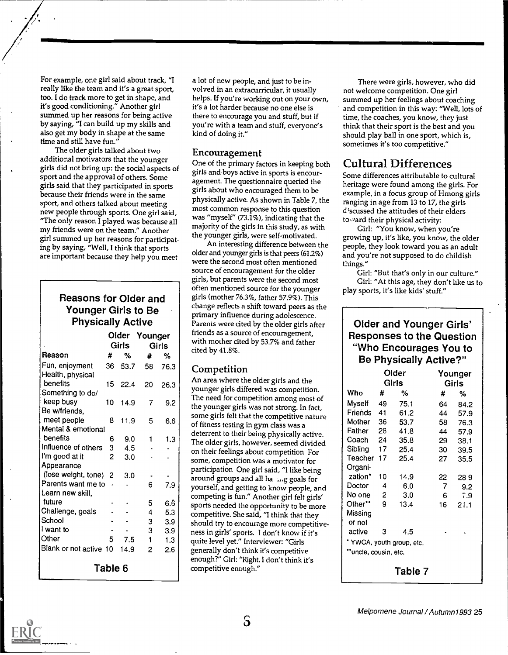For example, one girl said about track, "I really like the team and it's a great sport, too. I do track more to get in shape, and it's good conditioning." Another girl summed up her reasons for being active by saying, "I can build up my skills and also get my body in shape at the same time and still have fun."

The older girls talked about two additional motivators that the younger girls did not bring up: the social aspects of sport and the approval of others. Some girls said that they participated in sports because their friends were in the same sport, and others talked about meeting new people through sports. One girl said, "The only reason I played was because all my friends were on the team." Another girl summed up her reasons for participating by saying, "Well, I think that sports are important because they help you meet

#### Reasons for Older and Younger Girls to Be Physically Active

|                        |         | Older | Younger |              | friends as a<br>with moth |
|------------------------|---------|-------|---------|--------------|---------------------------|
|                        |         | Girls |         | <b>Girls</b> | cited by 41               |
| Reason                 | #       | ℅     | #       | %            |                           |
| Fun, enjoyment         | 36      | 53.7  | 58      | 76.3         | Compet                    |
| Health, physical       |         |       |         |              | An area wl                |
| benefits               | 15      | 22.4  | 20      | 26.3         | younger gi                |
| Something to do/       |         |       |         |              | The need f                |
| keep busy              | 10      | 14.9  | 7       | 9.2          | the younge                |
| Be w/friends,          |         |       |         |              | some girls                |
| meet people            | 8       | 11.9  | 5       | 6.6          | of fitness te             |
| Mental & emotional     |         |       |         |              | deterrent to              |
| benefits               | 6       | 9.0   | 1       | 1.3          | The older g               |
| Influence of others    | 3       | 4.5   |         |              | on their fee              |
| I'm good at it         | 2       | 3.0   |         |              | some, com                 |
| Appearance             |         |       |         |              | participatio              |
| (lose weight, tone) 2  |         | 3.0   |         |              | around gro                |
| Parents want me to     |         |       | 6       | 7.9          | yourself, ar              |
| Learn new skill,       |         |       |         |              | competing                 |
| future                 |         |       | 5       | 6.6          | sports need               |
| Challenge, goals       |         |       | 4       | 5.3          | competitiv                |
| School                 |         |       | 3       | 3.9          | should try                |
| I want to              |         |       | 3       | 3.9          | ness in girl              |
| Other                  | 5       | 7.5   | 1       | 1.3          | quite level               |
| Blank or not active 10 |         | 14.9  | 2       | 2.6          | generally d               |
|                        |         |       |         |              | enough?" (                |
|                        | Table 6 |       |         |              | competitive               |

a lot of new people, and just to be involved in an extracurricular, it usually helps. If you're working out on your own, it's a lot harder because no one else is there to encourage you and stuff, but if you're with a team and stuff, everyone's kind of doing it."

#### Encouragement

One of the primary factors in keeping both girls and.boys active in sports is encouragement. The questionnaire queried the girls about who encouraged them to be physically active. As shown in Table 7, the most common response to this question was "myself" (73.1%), indicating that the majority of the girls in this study, as with the younger girls, were self-motivated.

Girls Girls with mother cited by 53.7% and father<br>Girls Girls cited by 41.8% An interesting difference between the older and younger girls is that peers (61.2%) were the second most often mentioned source of encouragement for the older girls, but parents were the second most often mentioned source for the younger girls (mother 76.3%, father 57.9%). This change reflects a shift toward peers as the primary influence during adolescence. Parents were cited by the older girls after friends as a source of encouragement, cited by 41.8%.

#### Competition

 $\begin{bmatrix} 1 \text{ want to} \\ 2 \end{bmatrix}$  a 3.9 ness in girls' sports. I don't know if it's Blank or not active 10 14.9 2 2.6 generally don't think it's competitive An area where the older girls and the younger girls differed was competition. The need for competition among most of the younger girls was not strong. In fact, some girls felt that the competitive nature of fitness testing in gym class was a deterrent to their being physically active. The older girls, however, seemed divided on their feelings about competition For some, competition was a motivator for participation One girl said, "I like being around groups and all ha mg goals for yourself, and getting to know people, and competing is fun." Another girl felt girls' sports needed the opportunity to be more competitive. She said, "I think that they should try to encourage more competitivequite level yet." Interviewer: "Girls enough?" Girl: "Right, I don't think it's competitive enough."

There were girls, however, who did not welcome competition. One girl summed up her feelings about coaching and competition in this way: "Well, lots of time, the coaches, you know, they just think that their sport is the best and you should play ball in one sport, which is, sometimes it's too competitive."

# Cultural Differences

Some differences attributable to cultural heritage were found among the girls. For example, in a focus group of Hmong girls ranging in age from 13 to 17, the girls discussed the attitudes of their elders toward their physical activity:

Girl: "You know, when you're growing up, it's like, you know, the older people, they look toward you as an adult and you're not supposed to do childish things."

Girl: "But that's only in our culture." Girl: "At this age, they don't like us to play sports, it's like kids' stuff."

### Older and Younger Girls' Responses to the Question "Who Encourages You to Be Physically Active?"

|                      |    | Older                     |     | Younger |  |  |
|----------------------|----|---------------------------|-----|---------|--|--|
|                      |    | Girls                     |     | Girls   |  |  |
| Who                  | #  | %                         | #   | %       |  |  |
| Myself               | 49 | 75.1                      | 64  | 84.2    |  |  |
| Friends              | 41 | 61.2                      | 44  | 57.9    |  |  |
| Mother               | 36 | 53.7                      | 58. | 76.3    |  |  |
| Father               | 28 | 41.8                      | 44  | 57.9    |  |  |
| Coach                | 24 | 35.8                      | 29  | 38.1    |  |  |
| Sibling              | 17 | 25.4                      | 30  | 39.5    |  |  |
| Teacher 17           |    | 25.4                      | 27  | 35.5    |  |  |
| Organi-              |    |                           |     |         |  |  |
| zation*              | 10 | 14.9                      | 22  | 289     |  |  |
| Doctor               | 4  | 6.0                       | 7   | 9.2     |  |  |
| No one               | 2  | 3.0                       | 6   | 7.9     |  |  |
| Other**              | 9  | 13.4                      | 16  | 21.1    |  |  |
| Missing              |    |                           |     |         |  |  |
| or not               |    |                           |     |         |  |  |
| active               | 3  | 4.5                       |     |         |  |  |
|                      |    | * YWCA, youth group, etc. |     |         |  |  |
| "uncle, cousin, etc. |    |                           |     |         |  |  |
|                      |    | Table 7                   |     |         |  |  |